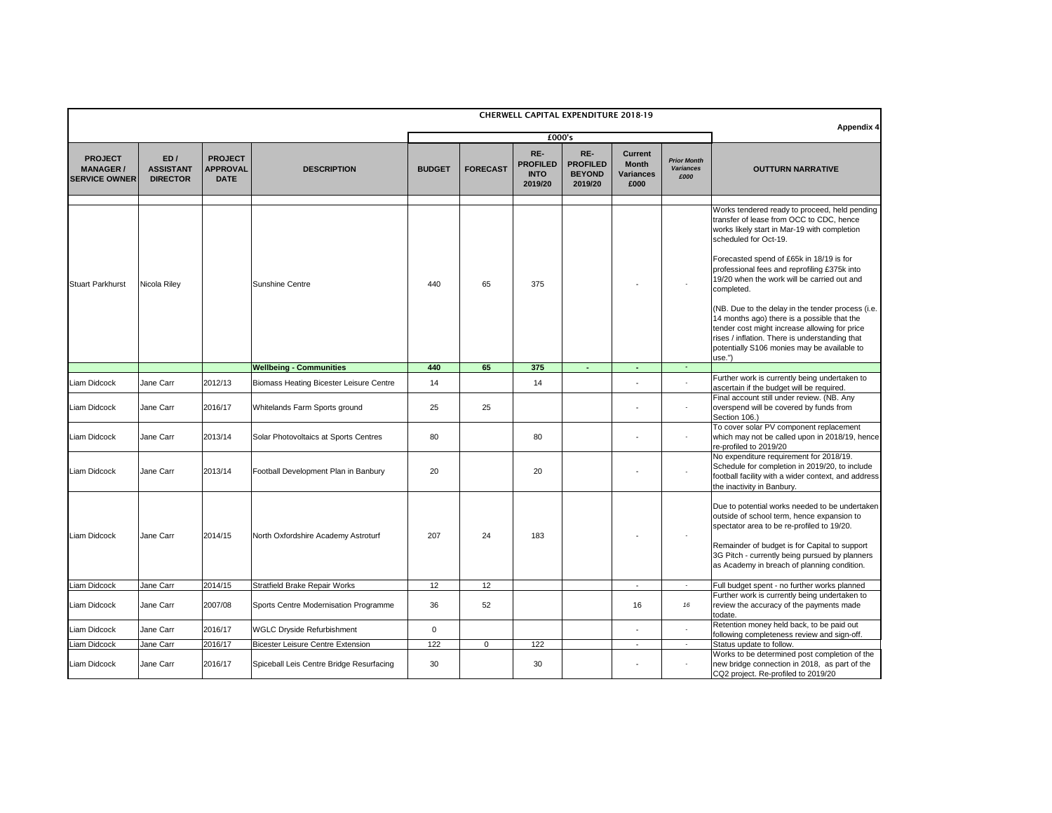|                                                            |                                            |                                                  |                                                |               |                 |                                                  | <b>CHERWELL CAPITAL EXPENDITURE 2018-19</b>        |                                                            |                                                |                                                                                                                                                                                                                                                                                                                                                                                                                                                                                                                                                                                            |
|------------------------------------------------------------|--------------------------------------------|--------------------------------------------------|------------------------------------------------|---------------|-----------------|--------------------------------------------------|----------------------------------------------------|------------------------------------------------------------|------------------------------------------------|--------------------------------------------------------------------------------------------------------------------------------------------------------------------------------------------------------------------------------------------------------------------------------------------------------------------------------------------------------------------------------------------------------------------------------------------------------------------------------------------------------------------------------------------------------------------------------------------|
|                                                            |                                            |                                                  |                                                |               |                 | £000's                                           | <b>Appendix 4</b>                                  |                                                            |                                                |                                                                                                                                                                                                                                                                                                                                                                                                                                                                                                                                                                                            |
| <b>PROJECT</b><br><b>MANAGER /</b><br><b>SERVICE OWNER</b> | ED/<br><b>ASSISTANT</b><br><b>DIRECTOR</b> | <b>PROJECT</b><br><b>APPROVAL</b><br><b>DATE</b> | <b>DESCRIPTION</b>                             | <b>BUDGET</b> | <b>FORECAST</b> | RE-<br><b>PROFILED</b><br><b>INTO</b><br>2019/20 | RE-<br><b>PROFILED</b><br><b>BEYOND</b><br>2019/20 | <b>Current</b><br><b>Month</b><br><b>Variances</b><br>£000 | <b>Prior Month</b><br><b>Variances</b><br>£000 | <b>OUTTURN NARRATIVE</b>                                                                                                                                                                                                                                                                                                                                                                                                                                                                                                                                                                   |
| <b>Stuart Parkhurst</b>                                    | Nicola Riley                               |                                                  | Sunshine Centre                                | 440           | 65              | 375                                              |                                                    |                                                            |                                                | Works tendered ready to proceed, held pending<br>transfer of lease from OCC to CDC, hence<br>works likely start in Mar-19 with completion<br>scheduled for Oct-19.<br>Forecasted spend of £65k in 18/19 is for<br>professional fees and reprofiling £375k into<br>19/20 when the work will be carried out and<br>completed.<br>(NB. Due to the delay in the tender process (i.e.<br>14 months ago) there is a possible that the<br>tender cost might increase allowing for price<br>rises / inflation. There is understanding that<br>potentially S106 monies may be available to<br>use." |
|                                                            |                                            |                                                  | <b>Wellbeing - Communities</b>                 | 440           | 65              | 375                                              |                                                    |                                                            |                                                |                                                                                                                                                                                                                                                                                                                                                                                                                                                                                                                                                                                            |
| <b>Liam Didcock</b>                                        | Jane Carr                                  | 2012/13                                          | <b>Biomass Heating Bicester Leisure Centre</b> | 14            |                 | 14                                               |                                                    |                                                            |                                                | Further work is currently being undertaken to<br>ascertain if the budget will be required.                                                                                                                                                                                                                                                                                                                                                                                                                                                                                                 |
| <b>Liam Didcock</b>                                        | Jane Carr                                  | 2016/17                                          | Whitelands Farm Sports ground                  | 25            | 25              |                                                  |                                                    |                                                            |                                                | Final account still under review. (NB. Any<br>overspend will be covered by funds from<br>Section 106.)                                                                                                                                                                                                                                                                                                                                                                                                                                                                                     |
| <b>Liam Didcock</b>                                        | Jane Carr                                  | 2013/14                                          | Solar Photovoltaics at Sports Centres          | 80            |                 | 80                                               |                                                    |                                                            |                                                | To cover solar PV component replacement<br>which may not be called upon in 2018/19, hence<br>re-profiled to 2019/20                                                                                                                                                                                                                                                                                                                                                                                                                                                                        |
| <b>Liam Didcock</b>                                        | Jane Carr                                  | 2013/14                                          | Football Development Plan in Banbury           | 20            |                 | 20                                               |                                                    |                                                            |                                                | No expenditure requirement for 2018/19.<br>Schedule for completion in 2019/20, to include<br>football facility with a wider context, and address<br>the inactivity in Banbury.                                                                                                                                                                                                                                                                                                                                                                                                             |
| Liam Didcock                                               | Jane Carr                                  | 2014/15                                          | North Oxfordshire Academy Astroturf            | 207           | 24              | 183                                              |                                                    |                                                            |                                                | Due to potential works needed to be undertaken<br>outside of school term, hence expansion to<br>spectator area to be re-profiled to 19/20.<br>Remainder of budget is for Capital to support<br>3G Pitch - currently being pursued by planners<br>as Academy in breach of planning condition.                                                                                                                                                                                                                                                                                               |
| Liam Didcock                                               | Jane Carr                                  | 2014/15                                          | <b>Stratfield Brake Repair Works</b>           | 12            | 12              |                                                  |                                                    | $\sim$                                                     | $\sim$                                         | Full budget spent - no further works planned                                                                                                                                                                                                                                                                                                                                                                                                                                                                                                                                               |
| Liam Didcock                                               | Jane Carr                                  | 2007/08                                          | Sports Centre Modernisation Programme          | 36            | 52              |                                                  |                                                    | 16                                                         | 16                                             | Further work is currently being undertaken to<br>review the accuracy of the payments made<br>todate.                                                                                                                                                                                                                                                                                                                                                                                                                                                                                       |
| Liam Didcock                                               | Jane Carr                                  | 2016/17                                          | <b>WGLC Dryside Refurbishment</b>              | $\mathbf 0$   |                 |                                                  |                                                    |                                                            | $\blacksquare$                                 | Retention money held back, to be paid out                                                                                                                                                                                                                                                                                                                                                                                                                                                                                                                                                  |
| Liam Didcock                                               | Jane Carr                                  | 2016/17                                          | Bicester Leisure Centre Extension              | 122           | $\Omega$        | 122                                              |                                                    | $\blacksquare$                                             | $\sim$                                         | following completeness review and sign-off.<br>Status update to follow.                                                                                                                                                                                                                                                                                                                                                                                                                                                                                                                    |
| Liam Didcock                                               | Jane Carr                                  | 2016/17                                          | Spiceball Leis Centre Bridge Resurfacing       | 30            |                 | 30                                               |                                                    |                                                            | $\sim$                                         | Works to be determined post completion of the<br>new bridge connection in 2018, as part of the<br>CQ2 project. Re-profiled to 2019/20                                                                                                                                                                                                                                                                                                                                                                                                                                                      |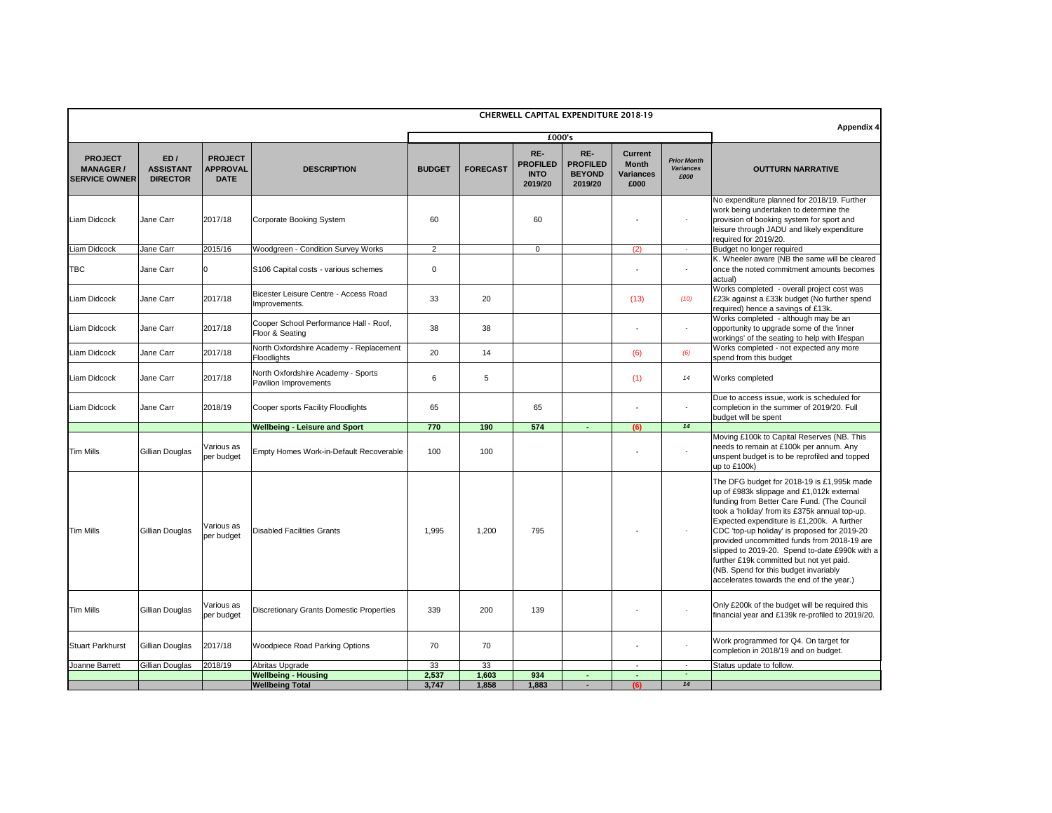| £000's<br>RE-<br>RE-<br><b>Current</b><br>ED/<br><b>PROJECT</b><br><b>PROJECT</b><br><b>Prior Month</b><br><b>PROFILED</b><br><b>Month</b><br><b>PROFILED</b><br><b>APPROVAL</b><br><b>FORECAST</b><br><b>MANAGER /</b><br><b>ASSISTANT</b><br><b>DESCRIPTION</b><br><b>BUDGET</b><br><b>Variances</b><br><b>OUTTURN NARRATIVE</b><br><b>BEYOND</b><br><b>INTO</b><br><b>Variances</b><br>£000<br><b>SERVICE OWNER</b><br><b>DATE</b><br><b>DIRECTOR</b><br>2019/20<br>2019/20<br>£000<br>work being undertaken to determine the<br>2017/18<br>60<br>60<br>provision of booking system for sport and<br>Liam Didcock<br>Jane Carr<br><b>Corporate Booking System</b><br>required for 2019/20.<br>Liam Didcock<br>2015/16<br>2<br>Jane Carr<br>Woodgreen - Condition Survey Works<br>(2)<br>$\Omega$<br>Budget no longer required<br>K. Wheeler aware (NB the same will be cleared<br>Jane Carr<br>$\mathbf 0$<br>S106 Capital costs - various schemes<br>$\overline{\phantom{a}}$<br>actual)<br>Bicester Leisure Centre - Access Road<br>2017/18<br>33<br>20<br>Jane Carr<br>(13)<br>(10)<br>Improvements.<br>required) hence a savings of £13k.<br>Works completed - although may be an<br>Cooper School Performance Hall - Roof,<br>38<br>2017/18<br>38<br>opportunity to upgrade some of the 'inner<br>Liam Didcock<br>Jane Carr<br>$\overline{\phantom{a}}$<br>Floor & Seating<br>workings' of the seating to help with lifespan<br>North Oxfordshire Academy - Replacement<br>20<br>2017/18<br>Jane Carr<br>14<br>(6)<br>(6)<br>spend from this budget<br>Floodlights<br>North Oxfordshire Academy - Sports<br>2017/18<br>6<br>Jane Carr<br>$\sqrt{5}$<br>(1)<br>Works completed<br>14<br>Pavilion Improvements<br>2018/19<br>65<br>65<br>Jane Carr<br>Cooper sports Facility Floodlights<br>$\overline{\phantom{a}}$<br>budget will be spent<br>14<br>574<br>770<br><b>Wellbeing - Leisure and Sport</b><br>190<br>(6)<br>Various as<br>Gillian Douglas<br>Empty Homes Work-in-Default Recoverable<br>100<br>100<br>per budget<br>up to £100k)<br>Various as<br>Gillian Douglas<br><b>Disabled Facilities Grants</b><br>795<br>1,995<br>1,200<br>per budget<br>further £19k committed but not yet paid.<br>(NB. Spend for this budget invariably<br>accelerates towards the end of the year.)<br>Various as<br>Gillian Douglas<br>339<br>139<br><b>Discretionary Grants Domestic Properties</b><br>200<br>per budget<br>Work programmed for Q4. On target for<br>2017/18<br>Woodpiece Road Parking Options<br>70<br>70<br>Gillian Douglas<br>$\blacksquare$<br>completion in 2018/19 and on budget.<br>2018/19<br>33<br>33<br>Gillian Douglas<br>Abritas Upgrade<br>Status update to follow.<br>$\sim$<br>$\blacksquare$<br>934<br>2,537<br>1,603<br><b>Wellbeing - Housing</b><br>$\overline{\phantom{a}}$ |  |                        |       |       |       | <b>CHERWELL CAPITAL EXPENDITURE 2018-19</b> |     |    |                                                                                                                                                                                                                                                                                                                                                                                         |
|-------------------------------------------------------------------------------------------------------------------------------------------------------------------------------------------------------------------------------------------------------------------------------------------------------------------------------------------------------------------------------------------------------------------------------------------------------------------------------------------------------------------------------------------------------------------------------------------------------------------------------------------------------------------------------------------------------------------------------------------------------------------------------------------------------------------------------------------------------------------------------------------------------------------------------------------------------------------------------------------------------------------------------------------------------------------------------------------------------------------------------------------------------------------------------------------------------------------------------------------------------------------------------------------------------------------------------------------------------------------------------------------------------------------------------------------------------------------------------------------------------------------------------------------------------------------------------------------------------------------------------------------------------------------------------------------------------------------------------------------------------------------------------------------------------------------------------------------------------------------------------------------------------------------------------------------------------------------------------------------------------------------------------------------------------------------------------------------------------------------------------------------------------------------------------------------------------------------------------------------------------------------------------------------------------------------------------------------------------------------------------------------------------------------------------------------------------------------------------------------------------------------------------------------------------------------------------------------------------------------------------------------------------------------------------------------------------------------------------------------------------------------------------------------------------------------|--|------------------------|-------|-------|-------|---------------------------------------------|-----|----|-----------------------------------------------------------------------------------------------------------------------------------------------------------------------------------------------------------------------------------------------------------------------------------------------------------------------------------------------------------------------------------------|
|                                                                                                                                                                                                                                                                                                                                                                                                                                                                                                                                                                                                                                                                                                                                                                                                                                                                                                                                                                                                                                                                                                                                                                                                                                                                                                                                                                                                                                                                                                                                                                                                                                                                                                                                                                                                                                                                                                                                                                                                                                                                                                                                                                                                                                                                                                                                                                                                                                                                                                                                                                                                                                                                                                                                                                                                                   |  |                        |       |       |       | Appendix 4                                  |     |    |                                                                                                                                                                                                                                                                                                                                                                                         |
|                                                                                                                                                                                                                                                                                                                                                                                                                                                                                                                                                                                                                                                                                                                                                                                                                                                                                                                                                                                                                                                                                                                                                                                                                                                                                                                                                                                                                                                                                                                                                                                                                                                                                                                                                                                                                                                                                                                                                                                                                                                                                                                                                                                                                                                                                                                                                                                                                                                                                                                                                                                                                                                                                                                                                                                                                   |  |                        |       |       |       |                                             |     |    |                                                                                                                                                                                                                                                                                                                                                                                         |
|                                                                                                                                                                                                                                                                                                                                                                                                                                                                                                                                                                                                                                                                                                                                                                                                                                                                                                                                                                                                                                                                                                                                                                                                                                                                                                                                                                                                                                                                                                                                                                                                                                                                                                                                                                                                                                                                                                                                                                                                                                                                                                                                                                                                                                                                                                                                                                                                                                                                                                                                                                                                                                                                                                                                                                                                                   |  |                        |       |       |       |                                             |     |    | No expenditure planned for 2018/19. Further<br>leisure through JADU and likely expenditure                                                                                                                                                                                                                                                                                              |
| <b>TBC</b><br><b>Liam Didcock</b><br>Liam Didcock<br>Liam Didcock<br>Liam Didcock<br>Joanne Barrett                                                                                                                                                                                                                                                                                                                                                                                                                                                                                                                                                                                                                                                                                                                                                                                                                                                                                                                                                                                                                                                                                                                                                                                                                                                                                                                                                                                                                                                                                                                                                                                                                                                                                                                                                                                                                                                                                                                                                                                                                                                                                                                                                                                                                                                                                                                                                                                                                                                                                                                                                                                                                                                                                                               |  |                        |       |       |       |                                             |     |    |                                                                                                                                                                                                                                                                                                                                                                                         |
|                                                                                                                                                                                                                                                                                                                                                                                                                                                                                                                                                                                                                                                                                                                                                                                                                                                                                                                                                                                                                                                                                                                                                                                                                                                                                                                                                                                                                                                                                                                                                                                                                                                                                                                                                                                                                                                                                                                                                                                                                                                                                                                                                                                                                                                                                                                                                                                                                                                                                                                                                                                                                                                                                                                                                                                                                   |  |                        |       |       |       |                                             |     |    | once the noted commitment amounts becomes                                                                                                                                                                                                                                                                                                                                               |
|                                                                                                                                                                                                                                                                                                                                                                                                                                                                                                                                                                                                                                                                                                                                                                                                                                                                                                                                                                                                                                                                                                                                                                                                                                                                                                                                                                                                                                                                                                                                                                                                                                                                                                                                                                                                                                                                                                                                                                                                                                                                                                                                                                                                                                                                                                                                                                                                                                                                                                                                                                                                                                                                                                                                                                                                                   |  |                        |       |       |       |                                             |     |    | Works completed - overall project cost was<br>£23k against a £33k budget (No further spend                                                                                                                                                                                                                                                                                              |
|                                                                                                                                                                                                                                                                                                                                                                                                                                                                                                                                                                                                                                                                                                                                                                                                                                                                                                                                                                                                                                                                                                                                                                                                                                                                                                                                                                                                                                                                                                                                                                                                                                                                                                                                                                                                                                                                                                                                                                                                                                                                                                                                                                                                                                                                                                                                                                                                                                                                                                                                                                                                                                                                                                                                                                                                                   |  |                        |       |       |       |                                             |     |    |                                                                                                                                                                                                                                                                                                                                                                                         |
|                                                                                                                                                                                                                                                                                                                                                                                                                                                                                                                                                                                                                                                                                                                                                                                                                                                                                                                                                                                                                                                                                                                                                                                                                                                                                                                                                                                                                                                                                                                                                                                                                                                                                                                                                                                                                                                                                                                                                                                                                                                                                                                                                                                                                                                                                                                                                                                                                                                                                                                                                                                                                                                                                                                                                                                                                   |  |                        |       |       |       |                                             |     |    | Works completed - not expected any more                                                                                                                                                                                                                                                                                                                                                 |
|                                                                                                                                                                                                                                                                                                                                                                                                                                                                                                                                                                                                                                                                                                                                                                                                                                                                                                                                                                                                                                                                                                                                                                                                                                                                                                                                                                                                                                                                                                                                                                                                                                                                                                                                                                                                                                                                                                                                                                                                                                                                                                                                                                                                                                                                                                                                                                                                                                                                                                                                                                                                                                                                                                                                                                                                                   |  |                        |       |       |       |                                             |     |    |                                                                                                                                                                                                                                                                                                                                                                                         |
| <b>Tim Mills</b><br><b>Tim Mills</b>                                                                                                                                                                                                                                                                                                                                                                                                                                                                                                                                                                                                                                                                                                                                                                                                                                                                                                                                                                                                                                                                                                                                                                                                                                                                                                                                                                                                                                                                                                                                                                                                                                                                                                                                                                                                                                                                                                                                                                                                                                                                                                                                                                                                                                                                                                                                                                                                                                                                                                                                                                                                                                                                                                                                                                              |  |                        |       |       |       |                                             |     |    | Due to access issue, work is scheduled for<br>completion in the summer of 2019/20. Full                                                                                                                                                                                                                                                                                                 |
|                                                                                                                                                                                                                                                                                                                                                                                                                                                                                                                                                                                                                                                                                                                                                                                                                                                                                                                                                                                                                                                                                                                                                                                                                                                                                                                                                                                                                                                                                                                                                                                                                                                                                                                                                                                                                                                                                                                                                                                                                                                                                                                                                                                                                                                                                                                                                                                                                                                                                                                                                                                                                                                                                                                                                                                                                   |  |                        |       |       |       |                                             |     |    |                                                                                                                                                                                                                                                                                                                                                                                         |
|                                                                                                                                                                                                                                                                                                                                                                                                                                                                                                                                                                                                                                                                                                                                                                                                                                                                                                                                                                                                                                                                                                                                                                                                                                                                                                                                                                                                                                                                                                                                                                                                                                                                                                                                                                                                                                                                                                                                                                                                                                                                                                                                                                                                                                                                                                                                                                                                                                                                                                                                                                                                                                                                                                                                                                                                                   |  |                        |       |       |       |                                             |     |    | Moving £100k to Capital Reserves (NB. This<br>needs to remain at £100k per annum. Any<br>unspent budget is to be reprofiled and topped                                                                                                                                                                                                                                                  |
| <b>Tim Mills</b><br><b>Stuart Parkhurst</b>                                                                                                                                                                                                                                                                                                                                                                                                                                                                                                                                                                                                                                                                                                                                                                                                                                                                                                                                                                                                                                                                                                                                                                                                                                                                                                                                                                                                                                                                                                                                                                                                                                                                                                                                                                                                                                                                                                                                                                                                                                                                                                                                                                                                                                                                                                                                                                                                                                                                                                                                                                                                                                                                                                                                                                       |  |                        |       |       |       |                                             |     |    | The DFG budget for 2018-19 is £1,995k made<br>up of £983k slippage and £1,012k external<br>funding from Better Care Fund. (The Council<br>took a 'holiday' from its £375k annual top-up.<br>Expected expenditure is £1,200k. A further<br>CDC 'top-up holiday' is proposed for 2019-20<br>provided uncommitted funds from 2018-19 are<br>slipped to 2019-20. Spend to-date £990k with a |
|                                                                                                                                                                                                                                                                                                                                                                                                                                                                                                                                                                                                                                                                                                                                                                                                                                                                                                                                                                                                                                                                                                                                                                                                                                                                                                                                                                                                                                                                                                                                                                                                                                                                                                                                                                                                                                                                                                                                                                                                                                                                                                                                                                                                                                                                                                                                                                                                                                                                                                                                                                                                                                                                                                                                                                                                                   |  |                        |       |       |       |                                             |     |    | Only £200k of the budget will be required this<br>financial year and £139k re-profiled to 2019/20.                                                                                                                                                                                                                                                                                      |
|                                                                                                                                                                                                                                                                                                                                                                                                                                                                                                                                                                                                                                                                                                                                                                                                                                                                                                                                                                                                                                                                                                                                                                                                                                                                                                                                                                                                                                                                                                                                                                                                                                                                                                                                                                                                                                                                                                                                                                                                                                                                                                                                                                                                                                                                                                                                                                                                                                                                                                                                                                                                                                                                                                                                                                                                                   |  |                        |       |       |       |                                             |     |    |                                                                                                                                                                                                                                                                                                                                                                                         |
|                                                                                                                                                                                                                                                                                                                                                                                                                                                                                                                                                                                                                                                                                                                                                                                                                                                                                                                                                                                                                                                                                                                                                                                                                                                                                                                                                                                                                                                                                                                                                                                                                                                                                                                                                                                                                                                                                                                                                                                                                                                                                                                                                                                                                                                                                                                                                                                                                                                                                                                                                                                                                                                                                                                                                                                                                   |  |                        |       |       |       |                                             |     |    |                                                                                                                                                                                                                                                                                                                                                                                         |
|                                                                                                                                                                                                                                                                                                                                                                                                                                                                                                                                                                                                                                                                                                                                                                                                                                                                                                                                                                                                                                                                                                                                                                                                                                                                                                                                                                                                                                                                                                                                                                                                                                                                                                                                                                                                                                                                                                                                                                                                                                                                                                                                                                                                                                                                                                                                                                                                                                                                                                                                                                                                                                                                                                                                                                                                                   |  | <b>Wellbeing Total</b> | 3,747 | 1,858 | 1,883 |                                             | (6) | 14 |                                                                                                                                                                                                                                                                                                                                                                                         |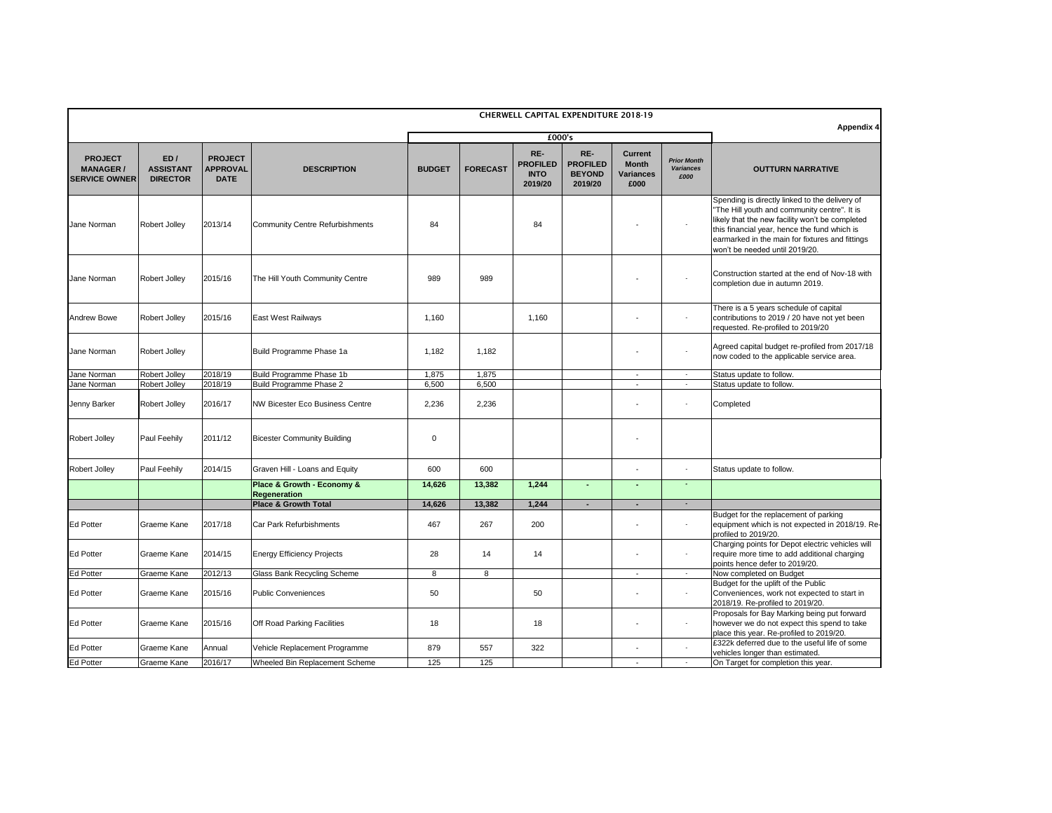|                                                           |                                            |                                                  |                                                           |               |                 |                                                  | <b>CHERWELL CAPITAL EXPENDITURE 2018-19</b>        |                                                            |                                                | <b>Appendix 4</b>                                                                                                                                                                                                                                                                      |
|-----------------------------------------------------------|--------------------------------------------|--------------------------------------------------|-----------------------------------------------------------|---------------|-----------------|--------------------------------------------------|----------------------------------------------------|------------------------------------------------------------|------------------------------------------------|----------------------------------------------------------------------------------------------------------------------------------------------------------------------------------------------------------------------------------------------------------------------------------------|
|                                                           |                                            |                                                  |                                                           |               |                 | £000's                                           |                                                    |                                                            |                                                |                                                                                                                                                                                                                                                                                        |
| <b>PROJECT</b><br><b>MANAGER/</b><br><b>SERVICE OWNER</b> | ED/<br><b>ASSISTANT</b><br><b>DIRECTOR</b> | <b>PROJECT</b><br><b>APPROVAL</b><br><b>DATE</b> | <b>DESCRIPTION</b>                                        | <b>BUDGET</b> | <b>FORECAST</b> | RE-<br><b>PROFILED</b><br><b>INTO</b><br>2019/20 | RE-<br><b>PROFILED</b><br><b>BEYOND</b><br>2019/20 | <b>Current</b><br><b>Month</b><br><b>Variances</b><br>£000 | <b>Prior Month</b><br><b>Variances</b><br>£000 | <b>OUTTURN NARRATIVE</b>                                                                                                                                                                                                                                                               |
| Jane Norman                                               | <b>Robert Jolley</b>                       | 2013/14                                          | <b>Community Centre Refurbishments</b>                    | 84            |                 | 84                                               |                                                    |                                                            |                                                | Spending is directly linked to the delivery of<br>"The Hill youth and community centre". It is<br>likely that the new facility won't be completed<br>this financial year, hence the fund which is<br>earmarked in the main for fixtures and fittings<br>won't be needed until 2019/20. |
| Jane Norman                                               | <b>Robert Jolley</b>                       | 2015/16                                          | The Hill Youth Community Centre                           | 989           | 989             |                                                  |                                                    |                                                            |                                                | Construction started at the end of Nov-18 with<br>completion due in autumn 2019.                                                                                                                                                                                                       |
| <b>Andrew Bowe</b>                                        | <b>Robert Jolley</b>                       | 2015/16                                          | <b>East West Railways</b>                                 | 1,160         |                 | 1,160                                            |                                                    |                                                            |                                                | There is a 5 years schedule of capital<br>contributions to 2019 / 20 have not yet been<br>requested. Re-profiled to 2019/20                                                                                                                                                            |
| Jane Norman                                               | <b>Robert Jolley</b>                       |                                                  | Build Programme Phase 1a                                  | 1,182         | 1,182           |                                                  |                                                    |                                                            |                                                | Agreed capital budget re-profiled from 2017/18<br>now coded to the applicable service area.                                                                                                                                                                                            |
| Jane Norman                                               | Robert Jolley                              | 2018/19                                          | Build Programme Phase 1b                                  | 1,875         | 1,875           |                                                  |                                                    | $\overline{\phantom{a}}$                                   |                                                | Status update to follow.                                                                                                                                                                                                                                                               |
| Jane Norman                                               | Robert Jolley                              | 2018/19                                          | Build Programme Phase 2                                   | 6,500         | 6,500           |                                                  |                                                    | $\overline{\phantom{a}}$                                   |                                                | Status update to follow.                                                                                                                                                                                                                                                               |
| Jenny Barker                                              | <b>Robert Jolley</b>                       | 2016/17                                          | <b>NW Bicester Eco Business Centre</b>                    | 2,236         | 2,236           |                                                  |                                                    |                                                            |                                                | Completed                                                                                                                                                                                                                                                                              |
| Robert Jolley                                             | Paul Feehily                               | 2011/12                                          | <b>Bicester Community Building</b>                        | 0             |                 |                                                  |                                                    |                                                            |                                                |                                                                                                                                                                                                                                                                                        |
| Robert Jolley                                             | Paul Feehily                               | 2014/15                                          | Graven Hill - Loans and Equity                            | 600           | 600             |                                                  |                                                    | $\blacksquare$                                             |                                                | Status update to follow.                                                                                                                                                                                                                                                               |
|                                                           |                                            |                                                  | <b>Place &amp; Growth - Economy &amp;</b><br>Regeneration | 14,626        | 13,382          | 1,244                                            |                                                    | $\blacksquare$                                             |                                                |                                                                                                                                                                                                                                                                                        |
|                                                           |                                            |                                                  | <b>Place &amp; Growth Total</b>                           | 14,626        | 13,382          | 1,244                                            |                                                    | $\blacksquare$                                             | $\blacksquare$                                 |                                                                                                                                                                                                                                                                                        |
| <b>Ed Potter</b>                                          | Graeme Kane                                | 2017/18                                          | Car Park Refurbishments                                   | 467           | 267             | 200                                              |                                                    |                                                            |                                                | Budget for the replacement of parking<br>equipment which is not expected in 2018/19. Re-<br>profiled to 2019/20.                                                                                                                                                                       |
| <b>Ed Potter</b>                                          | Graeme Kane                                | 2014/15                                          | <b>Energy Efficiency Projects</b>                         | 28            | 14              | 14                                               |                                                    |                                                            |                                                | Charging points for Depot electric vehicles will<br>require more time to add additional charging<br>points hence defer to 2019/20.                                                                                                                                                     |
| Ed Potter                                                 | Graeme Kane                                | 2012/13                                          | <b>Glass Bank Recycling Scheme</b>                        | 8             | 8               |                                                  |                                                    | $\blacksquare$                                             |                                                | Now completed on Budget                                                                                                                                                                                                                                                                |
| <b>Ed Potter</b>                                          | Graeme Kane                                | 2015/16                                          | <b>Public Conveniences</b>                                | 50            |                 | 50                                               |                                                    | $\blacksquare$                                             |                                                | Budget for the uplift of the Public<br>Conveniences, work not expected to start in<br>2018/19. Re-profiled to 2019/20.                                                                                                                                                                 |
| <b>Ed Potter</b>                                          | <b>Graeme Kane</b>                         | 2015/16                                          | <b>Off Road Parking Facilities</b>                        | 18            |                 | 18                                               |                                                    |                                                            |                                                | Proposals for Bay Marking being put forward<br>however we do not expect this spend to take<br>place this year. Re-profiled to 2019/20.                                                                                                                                                 |
| <b>Ed Potter</b>                                          | Graeme Kane                                | Annual                                           | Vehicle Replacement Programme                             | 879           | 557             | 322                                              |                                                    | $\sim$                                                     |                                                | £322k deferred due to the useful life of some<br>vehicles longer than estimated.                                                                                                                                                                                                       |
| <b>Ed Potter</b>                                          | Graeme Kane                                | 2016/17                                          | Wheeled Bin Replacement Scheme                            | 125           | 125             |                                                  |                                                    | $\sim$                                                     |                                                | On Target for completion this year.                                                                                                                                                                                                                                                    |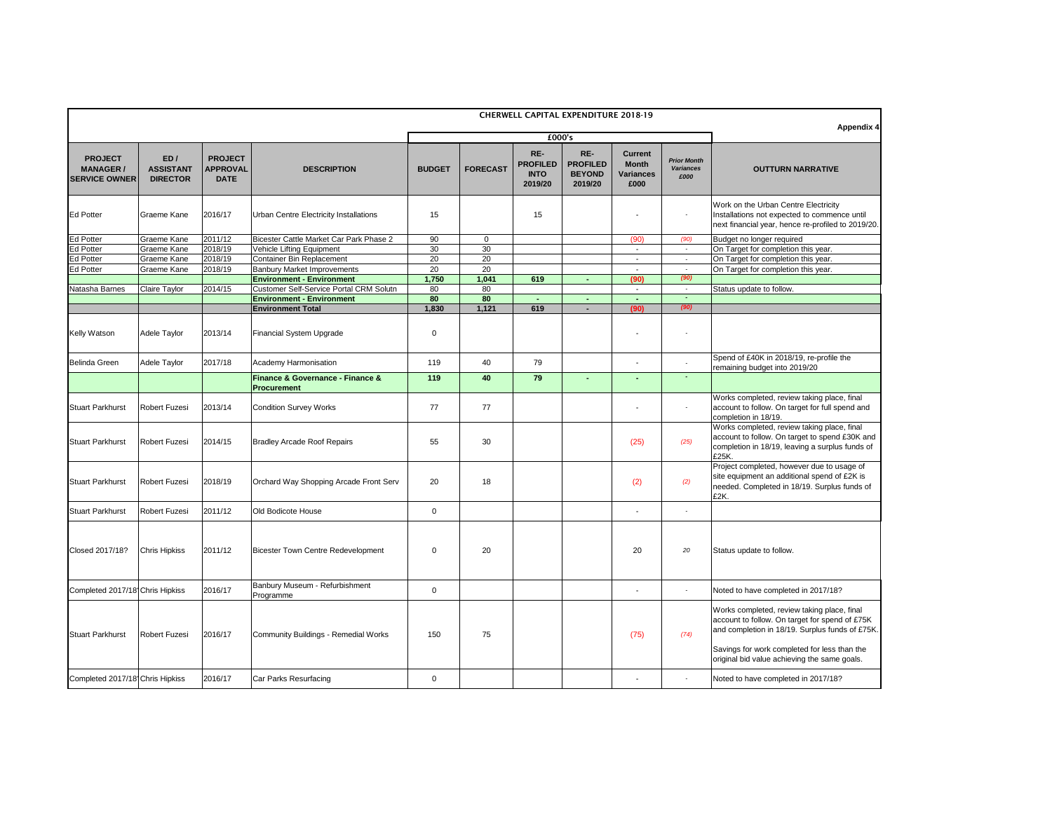| <b>CHERWELL CAPITAL EXPENDITURE 2018-19</b>               |                                            |                                                  |                                                                |                |                 |                                                  |                                                    |                                                            |                                                |                                                                                                                                                                                                  |
|-----------------------------------------------------------|--------------------------------------------|--------------------------------------------------|----------------------------------------------------------------|----------------|-----------------|--------------------------------------------------|----------------------------------------------------|------------------------------------------------------------|------------------------------------------------|--------------------------------------------------------------------------------------------------------------------------------------------------------------------------------------------------|
|                                                           |                                            |                                                  |                                                                |                |                 | £000's                                           | <b>Appendix 4</b>                                  |                                                            |                                                |                                                                                                                                                                                                  |
| <b>PROJECT</b><br><b>MANAGER/</b><br><b>SERVICE OWNER</b> | ED/<br><b>ASSISTANT</b><br><b>DIRECTOR</b> | <b>PROJECT</b><br><b>APPROVAL</b><br><b>DATE</b> | <b>DESCRIPTION</b>                                             | <b>BUDGET</b>  | <b>FORECAST</b> | RE-<br><b>PROFILED</b><br><b>INTO</b><br>2019/20 | RE-<br><b>PROFILED</b><br><b>BEYOND</b><br>2019/20 | <b>Current</b><br><b>Month</b><br><b>Variances</b><br>£000 | <b>Prior Month</b><br><b>Variances</b><br>£000 | <b>OUTTURN NARRATIVE</b>                                                                                                                                                                         |
| <b>Ed Potter</b>                                          | Graeme Kane                                | 2016/17                                          | Urban Centre Electricity Installations                         | 15             |                 | 15                                               |                                                    |                                                            | $\blacksquare$                                 | Work on the Urban Centre Electricity<br>Installations not expected to commence until<br>next financial year, hence re-profiled to 2019/20.                                                       |
| <b>Ed Potter</b>                                          | Graeme Kane                                | 2011/12                                          | Bicester Cattle Market Car Park Phase 2                        | 90             | $\mathbf 0$     |                                                  |                                                    | (90)                                                       | (90)                                           | Budget no longer required                                                                                                                                                                        |
| <b>Ed Potter</b>                                          | Graeme Kane                                | 2018/19                                          | Vehicle Lifting Equipment                                      | 30             | 30              |                                                  |                                                    |                                                            | $\blacksquare$                                 | On Target for completion this year.                                                                                                                                                              |
| <b>Ed Potter</b>                                          | Graeme Kane                                | 2018/19                                          | Container Bin Replacement                                      | 20             | 20              |                                                  |                                                    |                                                            | $\sim$                                         | On Target for completion this year.                                                                                                                                                              |
| <b>Ed Potter</b>                                          | Graeme Kane                                | $\sqrt{2018/19}$                                 | <b>Banbury Market Improvements</b>                             | 20             | 20              |                                                  |                                                    |                                                            | $\blacksquare$                                 | On Target for completion this year.                                                                                                                                                              |
|                                                           |                                            |                                                  | <b>Environment - Environment</b>                               | 1,750          | 1,041           | 619                                              | $\blacksquare$                                     | (90)                                                       | (90)                                           |                                                                                                                                                                                                  |
| Natasha Barnes                                            | Claire Taylor                              | 2014/15                                          | <b>Customer Self-Service Portal CRM Solutn</b>                 | 80             | 80              |                                                  |                                                    |                                                            | $\sim$                                         | Status update to follow.                                                                                                                                                                         |
|                                                           |                                            |                                                  | <b>Environment - Environment</b><br><b>Environment Total</b>   | 80<br>1,830    | 80<br>1,121     | 619                                              | $\blacksquare$                                     | (90)                                                       | $\blacksquare$<br>(90)                         |                                                                                                                                                                                                  |
| <b>Kelly Watson</b>                                       | Adele Taylor                               | 2013/14                                          | <b>Financial System Upgrade</b>                                | $\mathbf 0$    |                 |                                                  |                                                    |                                                            | $\overline{\phantom{a}}$                       |                                                                                                                                                                                                  |
| <b>Belinda Green</b>                                      | Adele Taylor                               | 2017/18                                          | Academy Harmonisation                                          | 119            | 40              | 79                                               |                                                    |                                                            | $\sim$                                         | Spend of £40K in 2018/19, re-profile the<br>remaining budget into 2019/20                                                                                                                        |
|                                                           |                                            |                                                  | <b>Finance &amp; Governance - Finance &amp;</b><br>Procurement | 119            | 40              | 79                                               | $\blacksquare$                                     |                                                            |                                                |                                                                                                                                                                                                  |
| <b>Stuart Parkhurst</b>                                   | <b>Robert Fuzesi</b>                       | 2013/14                                          | <b>Condition Survey Works</b>                                  | 77             | 77              |                                                  |                                                    |                                                            | $\blacksquare$                                 | Works completed, review taking place, final<br>account to follow. On target for full spend and<br>completion in 18/19.                                                                           |
| <b>Stuart Parkhurst</b>                                   | <b>Robert Fuzesi</b>                       | 2014/15                                          | <b>Bradley Arcade Roof Repairs</b>                             | 55             | 30              |                                                  |                                                    | (25)                                                       | (25)                                           | Works completed, review taking place, final<br>account to follow. On target to spend £30K and<br>completion in 18/19, leaving a surplus funds of<br>£25K.                                        |
| <b>Stuart Parkhurst</b>                                   | <b>Robert Fuzesi</b>                       | 2018/19                                          | Orchard Way Shopping Arcade Front Serv                         | 20             | 18              |                                                  |                                                    | (2)                                                        | (2)                                            | Project completed, however due to usage of<br>site equipment an additional spend of £2K is<br>needed. Completed in 18/19. Surplus funds of<br>£2K.                                               |
| <b>Stuart Parkhurst</b>                                   | Robert Fuzesi                              | 2011/12                                          | Old Bodicote House                                             | $\mathbf 0$    |                 |                                                  |                                                    |                                                            | $\sim$                                         |                                                                                                                                                                                                  |
| Closed 2017/18?                                           | <b>Chris Hipkiss</b>                       | 2011/12                                          | Bicester Town Centre Redevelopment                             | $\overline{0}$ | 20              |                                                  |                                                    | 20                                                         | 20                                             | Status update to follow.                                                                                                                                                                         |
| Completed 2017/18 Chris Hipkiss                           |                                            | 2016/17                                          | Banbury Museum - Refurbishment<br>Programme                    | $\mathbf 0$    |                 |                                                  |                                                    | ۰                                                          | $\blacksquare$                                 | Noted to have completed in 2017/18?                                                                                                                                                              |
| <b>Stuart Parkhurst</b>                                   | <b>Robert Fuzesi</b>                       | 2016/17                                          | Community Buildings - Remedial Works                           | 150            | 75              |                                                  |                                                    | (75)                                                       | (74)                                           | Works completed, review taking place, final<br>account to follow. On target for spend of £75K<br>and completion in 18/19. Surplus funds of £75K.<br>Savings for work completed for less than the |
|                                                           |                                            |                                                  |                                                                |                |                 |                                                  |                                                    |                                                            |                                                | original bid value achieving the same goals.                                                                                                                                                     |
| Completed 2017/18 Chris Hipkiss                           |                                            | 2016/17                                          | Car Parks Resurfacing                                          | $\overline{0}$ |                 |                                                  |                                                    | ۰                                                          | $\overline{\phantom{a}}$                       | Noted to have completed in 2017/18?                                                                                                                                                              |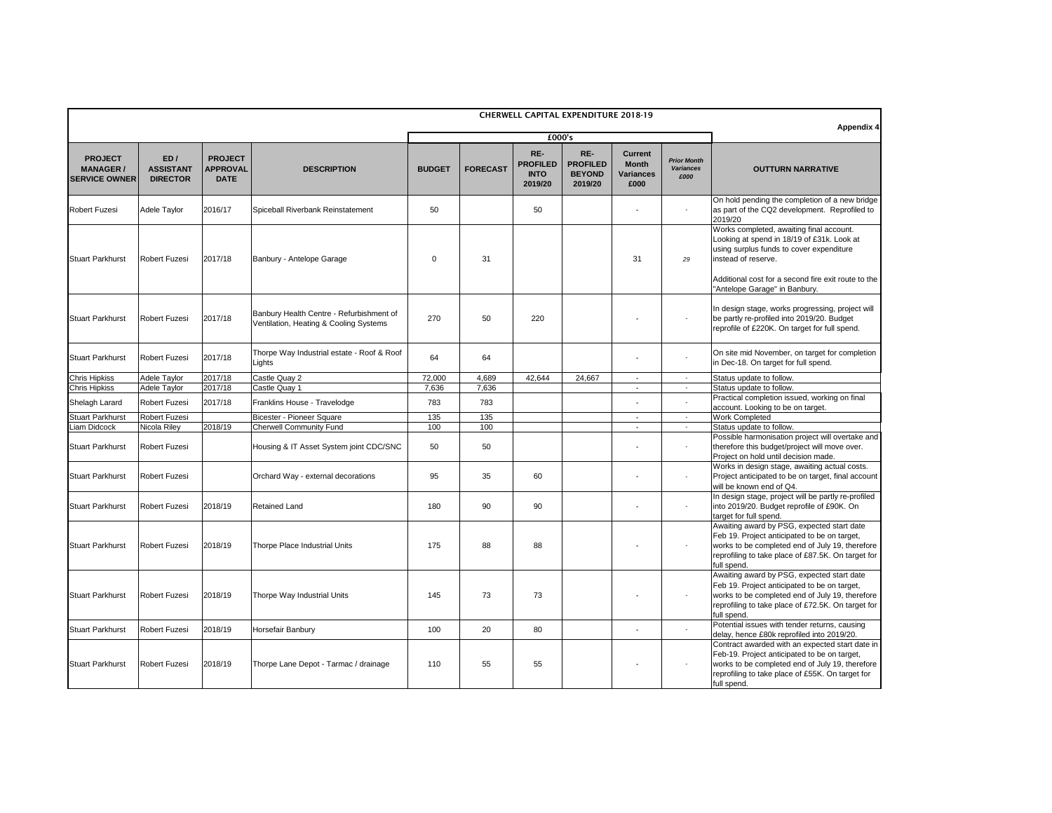| <b>CHERWELL CAPITAL EXPENDITURE 2018-19</b>                |                                            |                                                  |                                                                                    |               |                 |                                                  |                                                    |                                                            |                                                |                                                                                                                                                                                                                       |
|------------------------------------------------------------|--------------------------------------------|--------------------------------------------------|------------------------------------------------------------------------------------|---------------|-----------------|--------------------------------------------------|----------------------------------------------------|------------------------------------------------------------|------------------------------------------------|-----------------------------------------------------------------------------------------------------------------------------------------------------------------------------------------------------------------------|
|                                                            |                                            |                                                  |                                                                                    |               |                 | £000's                                           |                                                    |                                                            |                                                | Appendix 4                                                                                                                                                                                                            |
| <b>PROJECT</b><br><b>MANAGER /</b><br><b>SERVICE OWNER</b> | ED/<br><b>ASSISTANT</b><br><b>DIRECTOR</b> | <b>PROJECT</b><br><b>APPROVAL</b><br><b>DATE</b> | <b>DESCRIPTION</b>                                                                 | <b>BUDGET</b> | <b>FORECAST</b> | RE-<br><b>PROFILED</b><br><b>INTO</b><br>2019/20 | RE-<br><b>PROFILED</b><br><b>BEYOND</b><br>2019/20 | <b>Current</b><br><b>Month</b><br><b>Variances</b><br>£000 | <b>Prior Month</b><br><b>Variances</b><br>£000 | <b>OUTTURN NARRATIVE</b>                                                                                                                                                                                              |
| <b>Robert Fuzesi</b>                                       | Adele Taylor                               | 2016/17                                          | Spiceball Riverbank Reinstatement                                                  | 50            |                 | 50                                               |                                                    |                                                            |                                                | On hold pending the completion of a new bridge<br>as part of the CQ2 development. Reprofiled to<br>2019/20                                                                                                            |
| <b>Stuart Parkhurst</b>                                    | <b>Robert Fuzesi</b>                       | 2017/18                                          | Banbury - Antelope Garage                                                          | $\mathbf 0$   | 31              |                                                  |                                                    | 31                                                         | 29                                             | Works completed, awaiting final account.<br>Looking at spend in 18/19 of £31k. Look at<br>using surplus funds to cover expenditure<br>instead of reserve.<br>Additional cost for a second fire exit route to the      |
|                                                            |                                            |                                                  |                                                                                    |               |                 |                                                  |                                                    |                                                            |                                                | "Antelope Garage" in Banbury.                                                                                                                                                                                         |
| <b>Stuart Parkhurst</b>                                    | <b>Robert Fuzesi</b>                       | 2017/18                                          | Banbury Health Centre - Refurbishment of<br>Ventilation, Heating & Cooling Systems | 270           | 50              | 220                                              |                                                    |                                                            |                                                | In design stage, works progressing, project will<br>be partly re-profiled into 2019/20. Budget<br>reprofile of £220K. On target for full spend.                                                                       |
| <b>Stuart Parkhurst</b>                                    | <b>Robert Fuzesi</b>                       | 2017/18                                          | Thorpe Way Industrial estate - Roof & Roof<br>Lights                               | 64            | 64              |                                                  |                                                    |                                                            |                                                | On site mid November, on target for completion<br>in Dec-18. On target for full spend.                                                                                                                                |
| <b>Chris Hipkiss</b>                                       | Adele Taylor                               | 2017/18                                          | Castle Quay 2                                                                      | 72,000        | 4,689           | 42,644                                           | 24,667                                             | $\sim$                                                     | $\sim$                                         | Status update to follow.                                                                                                                                                                                              |
| <b>Chris Hipkiss</b>                                       | Adele Taylor                               | 2017/18                                          | Castle Quay 1                                                                      | 7,636         | 7,636           |                                                  |                                                    | $\blacksquare$                                             | $\sim$                                         | Status update to follow.                                                                                                                                                                                              |
| Shelagh Larard                                             | <b>Robert Fuzesi</b>                       | 2017/18                                          | Franklins House - Travelodge                                                       | 783           | 783             |                                                  |                                                    |                                                            |                                                | Practical completion issued, working on final<br>account. Looking to be on target.                                                                                                                                    |
| <b>Stuart Parkhurst</b>                                    | <b>Robert Fuzesi</b>                       |                                                  | <b>Bicester - Pioneer Square</b>                                                   | 135           | 135             |                                                  |                                                    | ٠                                                          |                                                | <b>Work Completed</b>                                                                                                                                                                                                 |
| Liam Didcock                                               | Nicola Riley                               | 2018/19                                          | <b>Cherwell Community Fund</b>                                                     | 100           | 100             |                                                  |                                                    |                                                            |                                                | Status update to follow.                                                                                                                                                                                              |
| <b>Stuart Parkhurst</b>                                    | <b>Robert Fuzesi</b>                       |                                                  | Housing & IT Asset System joint CDC/SNC                                            | 50            | 50              |                                                  |                                                    |                                                            |                                                | Possible harmonisation project will overtake and<br>therefore this budget/project will move over.<br>Project on hold until decision made.                                                                             |
| <b>Stuart Parkhurst</b>                                    | <b>Robert Fuzesi</b>                       |                                                  | Orchard Way - external decorations                                                 | 95            | 35              | 60                                               |                                                    |                                                            |                                                | Works in design stage, awaiting actual costs.<br>Project anticipated to be on target, final account<br>will be known end of Q4.                                                                                       |
| <b>Stuart Parkhurst</b>                                    | <b>Robert Fuzesi</b>                       | 2018/19                                          | <b>Retained Land</b>                                                               | 180           | 90              | 90                                               |                                                    |                                                            |                                                | In design stage, project will be partly re-profiled<br>into 2019/20. Budget reprofile of £90K. On<br>target for full spend.                                                                                           |
| <b>Stuart Parkhurst</b>                                    | <b>Robert Fuzesi</b>                       | 2018/19                                          | <b>Thorpe Place Industrial Units</b>                                               | 175           | 88              | 88                                               |                                                    |                                                            |                                                | Awaiting award by PSG, expected start date<br>Feb 19. Project anticipated to be on target,<br>works to be completed end of July 19, therefore<br>reprofiling to take place of £87.5K. On target for<br>full spend.    |
| <b>Stuart Parkhurst</b>                                    | <b>Robert Fuzesi</b>                       | 2018/19                                          | Thorpe Way Industrial Units                                                        | 145           | 73              | 73                                               |                                                    |                                                            |                                                | Awaiting award by PSG, expected start date<br>Feb 19. Project anticipated to be on target,<br>works to be completed end of July 19, therefore<br>reprofiling to take place of £72.5K. On target for<br>full spend.    |
| <b>Stuart Parkhurst</b>                                    | <b>Robert Fuzesi</b>                       | 2018/19                                          | Horsefair Banbury                                                                  | 100           | 20              | 80                                               |                                                    |                                                            |                                                | Potential issues with tender returns, causing<br>delay, hence £80k reprofiled into 2019/20.                                                                                                                           |
| <b>Stuart Parkhurst</b>                                    | <b>Robert Fuzesi</b>                       | 2018/19                                          | Thorpe Lane Depot - Tarmac / drainage                                              | 110           | 55              | 55                                               |                                                    |                                                            |                                                | Contract awarded with an expected start date in<br>Feb-19. Project anticipated to be on target,<br>works to be completed end of July 19, therefore<br>reprofiling to take place of £55K. On target for<br>full spend. |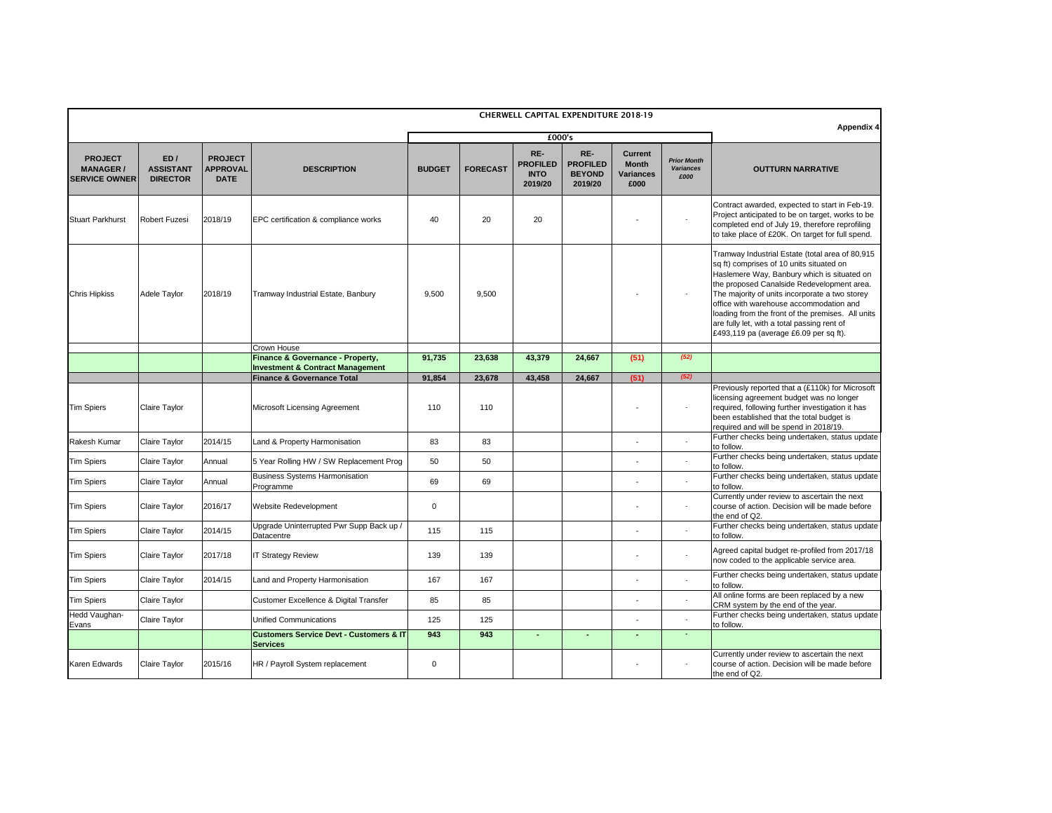|                                                            |                                            |                                                  |                                                                       |               |                 | <b>CHERWELL CAPITAL EXPENDITURE 2018-19</b>      |                                                    |                                                            |                                                | <b>Appendix 4</b>                                                                                                                                                                                                                                                                                                                                                                                                                   |
|------------------------------------------------------------|--------------------------------------------|--------------------------------------------------|-----------------------------------------------------------------------|---------------|-----------------|--------------------------------------------------|----------------------------------------------------|------------------------------------------------------------|------------------------------------------------|-------------------------------------------------------------------------------------------------------------------------------------------------------------------------------------------------------------------------------------------------------------------------------------------------------------------------------------------------------------------------------------------------------------------------------------|
|                                                            |                                            |                                                  |                                                                       |               |                 | £000's                                           |                                                    |                                                            |                                                |                                                                                                                                                                                                                                                                                                                                                                                                                                     |
| <b>PROJECT</b><br><b>MANAGER /</b><br><b>SERVICE OWNER</b> | ED/<br><b>ASSISTANT</b><br><b>DIRECTOR</b> | <b>PROJECT</b><br><b>APPROVAL</b><br><b>DATE</b> | <b>DESCRIPTION</b>                                                    | <b>BUDGET</b> | <b>FORECAST</b> | RE-<br><b>PROFILED</b><br><b>INTO</b><br>2019/20 | RE-<br><b>PROFILED</b><br><b>BEYOND</b><br>2019/20 | <b>Current</b><br><b>Month</b><br><b>Variances</b><br>£000 | <b>Prior Month</b><br><b>Variances</b><br>£000 | <b>OUTTURN NARRATIVE</b>                                                                                                                                                                                                                                                                                                                                                                                                            |
| <b>Stuart Parkhurst</b>                                    | <b>Robert Fuzesi</b>                       | 2018/19                                          | EPC certification & compliance works                                  | 40            | 20              | 20                                               |                                                    |                                                            |                                                | Contract awarded, expected to start in Feb-19.<br>Project anticipated to be on target, works to be<br>completed end of July 19, therefore reprofiling<br>to take place of £20K. On target for full spend.                                                                                                                                                                                                                           |
| <b>Chris Hipkiss</b>                                       | Adele Taylor                               | 2018/19                                          | Tramway Industrial Estate, Banbury                                    | 9,500         | 9,500           |                                                  |                                                    |                                                            |                                                | Tramway Industrial Estate (total area of 80,915<br>sq ft) comprises of 10 units situated on<br>Haslemere Way, Banbury which is situated on<br>the proposed Canalside Redevelopment area.<br>The majority of units incorporate a two storey<br>office with warehouse accommodation and<br>loading from the front of the premises. All units<br>are fully let, with a total passing rent of<br>£493,119 pa (average £6.09 per sq ft). |
|                                                            |                                            |                                                  | Crown House<br><b>Finance &amp; Governance - Property,</b>            | 91,735        | 23,638          | 43,379                                           | 24,667                                             | (51)                                                       | (52)                                           |                                                                                                                                                                                                                                                                                                                                                                                                                                     |
|                                                            |                                            |                                                  | <b>Investment &amp; Contract Management</b>                           |               |                 |                                                  |                                                    |                                                            |                                                |                                                                                                                                                                                                                                                                                                                                                                                                                                     |
|                                                            |                                            |                                                  | <b>Finance &amp; Governance Total</b>                                 | 91,854        | 23,678          | 43,458                                           | 24,667                                             | (51)                                                       | (52)                                           |                                                                                                                                                                                                                                                                                                                                                                                                                                     |
| <b>Tim Spiers</b>                                          | <b>Claire Taylor</b>                       |                                                  | <b>Microsoft Licensing Agreement</b>                                  | 110           | 110             |                                                  |                                                    |                                                            |                                                | Previously reported that a (£110k) for Microsoft<br>licensing agreement budget was no longer<br>required, following further investigation it has<br>been established that the total budget is<br>required and will be spend in 2018/19.                                                                                                                                                                                             |
| <b>Rakesh Kumar</b>                                        | <b>Claire Taylor</b>                       | 2014/15                                          | Land & Property Harmonisation                                         | 83            | 83              |                                                  |                                                    |                                                            |                                                | Further checks being undertaken, status update<br>to follow.                                                                                                                                                                                                                                                                                                                                                                        |
| <b>Tim Spiers</b>                                          | <b>Claire Taylor</b>                       | Annual                                           | 5 Year Rolling HW / SW Replacement Prog                               | 50            | 50              |                                                  |                                                    |                                                            |                                                | Further checks being undertaken, status update<br>to follow.                                                                                                                                                                                                                                                                                                                                                                        |
| <b>Tim Spiers</b>                                          | <b>Claire Taylor</b>                       | Annual                                           | <b>Business Systems Harmonisation</b><br>Programme                    | 69            | 69              |                                                  |                                                    |                                                            |                                                | Further checks being undertaken, status update<br>to follow.                                                                                                                                                                                                                                                                                                                                                                        |
| <b>Tim Spiers</b>                                          | <b>Claire Taylor</b>                       | 2016/17                                          | <b>Website Redevelopment</b>                                          | $\mathbf 0$   |                 |                                                  |                                                    |                                                            |                                                | Currently under review to ascertain the next<br>course of action. Decision will be made before<br>the end of Q2.                                                                                                                                                                                                                                                                                                                    |
| <b>Tim Spiers</b>                                          | <b>Claire Taylor</b>                       | 2014/15                                          | Upgrade Uninterrupted Pwr Supp Back up /<br>Datacentre                | 115           | 115             |                                                  |                                                    |                                                            |                                                | Further checks being undertaken, status update<br>to follow.                                                                                                                                                                                                                                                                                                                                                                        |
| <b>Tim Spiers</b>                                          | <b>Claire Taylor</b>                       | 2017/18                                          | <b>IT Strategy Review</b>                                             | 139           | 139             |                                                  |                                                    |                                                            | $\sim$                                         | Agreed capital budget re-profiled from 2017/18<br>now coded to the applicable service area.                                                                                                                                                                                                                                                                                                                                         |
| <b>Tim Spiers</b>                                          | <b>Claire Taylor</b>                       | 2014/15                                          | Land and Property Harmonisation                                       | 167           | 167             |                                                  |                                                    |                                                            |                                                | Further checks being undertaken, status update<br>to follow.                                                                                                                                                                                                                                                                                                                                                                        |
| <b>Tim Spiers</b>                                          | <b>Claire Taylor</b>                       |                                                  | <b>Customer Excellence &amp; Digital Transfer</b>                     | 85            | 85              |                                                  |                                                    | $\overline{\phantom{a}}$                                   |                                                | All online forms are been replaced by a new<br>CRM system by the end of the year.                                                                                                                                                                                                                                                                                                                                                   |
| Hedd Vaughan-<br>Evans                                     | <b>Claire Taylor</b>                       |                                                  | <b>Unified Communications</b>                                         | 125           | 125             |                                                  |                                                    |                                                            |                                                | Further checks being undertaken, status update<br>to follow.                                                                                                                                                                                                                                                                                                                                                                        |
|                                                            |                                            |                                                  | <b>Customers Service Devt - Customers &amp; IT</b><br><b>Services</b> | 943           | 943             |                                                  |                                                    |                                                            |                                                |                                                                                                                                                                                                                                                                                                                                                                                                                                     |
| Karen Edwards                                              | <b>Claire Taylor</b>                       | 2015/16                                          | HR / Payroll System replacement                                       | $\mathbf 0$   |                 |                                                  |                                                    |                                                            |                                                | Currently under review to ascertain the next<br>course of action. Decision will be made before<br>the end of Q2.                                                                                                                                                                                                                                                                                                                    |